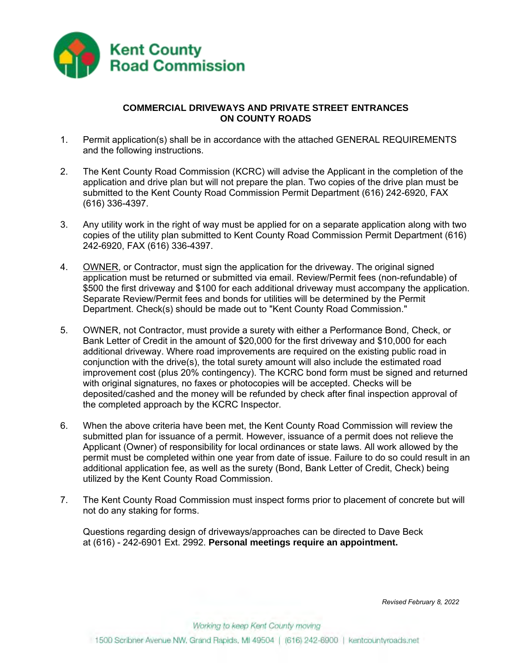

# **COMMERCIAL DRIVEWAYS AND PRIVATE STREET ENTRANCES ON COUNTY ROADS**

- 1. Permit application(s) shall be in accordance with the attached GENERAL REQUIREMENTS and the following instructions.
- 2. The Kent County Road Commission (KCRC) will advise the Applicant in the completion of the application and drive plan but will not prepare the plan. Two copies of the drive plan must be submitted to the Kent County Road Commission Permit Department (616) 242-6920, FAX (616) 336-4397.
- 3. Any utility work in the right of way must be applied for on a separate application along with two copies of the utility plan submitted to Kent County Road Commission Permit Department (616) 242-6920, FAX (616) 336-4397.
- 4. OWNER, or Contractor, must sign the application for the driveway. The original signed application must be returned or submitted via email. Review/Permit fees (non-refundable) of \$500 the first driveway and \$100 for each additional driveway must accompany the application. Separate Review/Permit fees and bonds for utilities will be determined by the Permit Department. Check(s) should be made out to "Kent County Road Commission."
- 5. OWNER, not Contractor, must provide a surety with either a Performance Bond, Check, or Bank Letter of Credit in the amount of \$20,000 for the first driveway and \$10,000 for each additional driveway. Where road improvements are required on the existing public road in conjunction with the drive(s), the total surety amount will also include the estimated road improvement cost (plus 20% contingency). The KCRC bond form must be signed and returned with original signatures, no faxes or photocopies will be accepted. Checks will be deposited/cashed and the money will be refunded by check after final inspection approval of the completed approach by the KCRC Inspector.
- 6. When the above criteria have been met, the Kent County Road Commission will review the submitted plan for issuance of a permit. However, issuance of a permit does not relieve the Applicant (Owner) of responsibility for local ordinances or state laws. All work allowed by the permit must be completed within one year from date of issue. Failure to do so could result in an additional application fee, as well as the surety (Bond, Bank Letter of Credit, Check) being utilized by the Kent County Road Commission.
- 7. The Kent County Road Commission must inspect forms prior to placement of concrete but will not do any staking for forms.

Questions regarding design of driveways/approaches can be directed to Dave Beck at (616) - 242-6901 Ext. 2992. **Personal meetings require an appointment.**

*Revised February 8, 2022*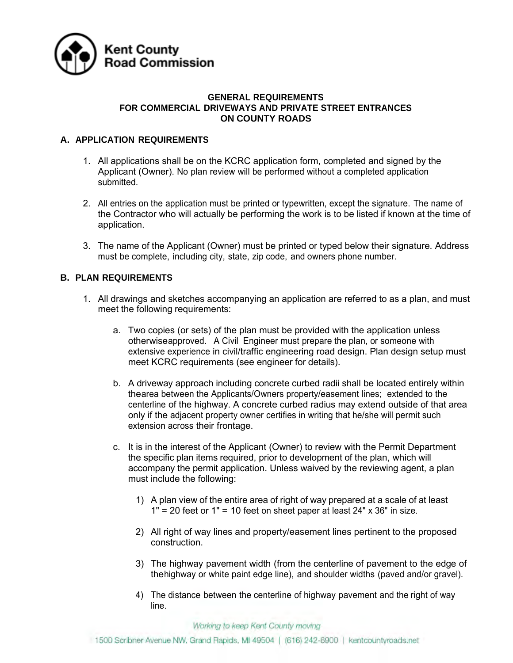

### **GENERAL REQUIREMENTS FOR COMMERCIAL DRIVEWAYS AND PRIVATE STREET ENTRANCES ON COUNTY ROADS**

# **A. APPLICATION REQUIREMENTS**

- 1. All applications shall be on the KCRC application form, completed and signed by the Applicant (Owner). No plan review will be performed without a completed application submitted.
- 2. All entries on the application must be printed or typewritten, except the signature. The name of the Contractor who will actually be performing the work is to be listed if known at the time of application.
- 3. The name of the Applicant (Owner) must be printed or typed below their signature. Address must be complete, including city, state, zip code, and owners phone number.

# **B. PLAN REQUIREMENTS**

- 1. All drawings and sketches accompanying an application are referred to as a plan, and must meet the following requirements:
	- a. Two copies (or sets) of the plan must be provided with the application unless otherwiseapproved. A Civil Engineer must prepare the plan, or someone with extensive experience in civil/traffic engineering road design. Plan design setup must meet KCRC requirements (see engineer for details).
	- b. A driveway approach including concrete curbed radii shall be located entirely within thearea between the Applicants/Owners property/easement lines; extended to the centerline of the highway. A concrete curbed radius may extend outside of that area only if the adjacent property owner certifies in writing that he/she will permit such extension across their frontage.
	- c. It is in the interest of the Applicant (Owner) to review with the Permit Department the specific plan items required, prior to development of the plan, which will accompany the permit application. Unless waived by the reviewing agent, a plan must include the following:
		- 1) A plan view of the entire area of right of way prepared at a scale of at least  $1" = 20$  feet or  $1" = 10$  feet on sheet paper at least 24" x 36" in size.
		- 2) All right of way lines and property/easement lines pertinent to the proposed construction.
		- 3) The highway pavement width (from the centerline of pavement to the edge of thehighway or white paint edge line), and shoulder widths (paved and/or gravel).
		- 4) The distance between the centerline of highway pavement and the right of way line.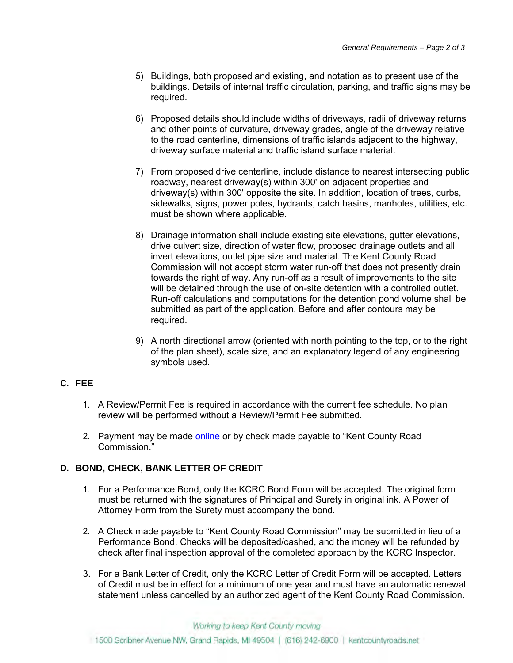- 5) Buildings, both proposed and existing, and notation as to present use of the buildings. Details of internal traffic circulation, parking, and traffic signs may be required.
- 6) Proposed details should include widths of driveways, radii of driveway returns and other points of curvature, driveway grades, angle of the driveway relative to the road centerline, dimensions of traffic islands adjacent to the highway, driveway surface material and traffic island surface material.
- 7) From proposed drive centerline, include distance to nearest intersecting public roadway, nearest driveway(s) within 300' on adjacent properties and driveway(s) within 300' opposite the site. In addition, location of trees, curbs, sidewalks, signs, power poles, hydrants, catch basins, manholes, utilities, etc. must be shown where applicable.
- 8) Drainage information shall include existing site elevations, gutter elevations, drive culvert size, direction of water flow, proposed drainage outlets and all invert elevations, outlet pipe size and material. The Kent County Road Commission will not accept storm water run-off that does not presently drain towards the right of way. Any run-off as a result of improvements to the site will be detained through the use of on-site detention with a controlled outlet. Run-off calculations and computations for the detention pond volume shall be submitted as part of the application. Before and after contours may be required.
- 9) A north directional arrow (oriented with north pointing to the top, or to the right of the plan sheet), scale size, and an explanatory legend of any engineering symbols used.

# **C. FEE**

- 1. A Review/Permit Fee is required in accordance with the current fee schedule. No plan review will be performed without a Review/Permit Fee submitted.
- 2. Payment may be made [online](https://pay.payitgov.com/kent-roads) or by check made payable to "Kent County Road Commission."

# **D. BOND, CHECK, BANK LETTER OF CREDIT**

- 1. For a Performance Bond, only the KCRC Bond Form will be accepted. The original form must be returned with the signatures of Principal and Surety in original ink. A Power of Attorney Form from the Surety must accompany the bond.
- 2. A Check made payable to "Kent County Road Commission" may be submitted in lieu of a Performance Bond. Checks will be deposited/cashed, and the money will be refunded by check after final inspection approval of the completed approach by the KCRC Inspector.
- 3. For a Bank Letter of Credit, only the KCRC Letter of Credit Form will be accepted. Letters of Credit must be in effect for a minimum of one year and must have an automatic renewal statement unless cancelled by an authorized agent of the Kent County Road Commission.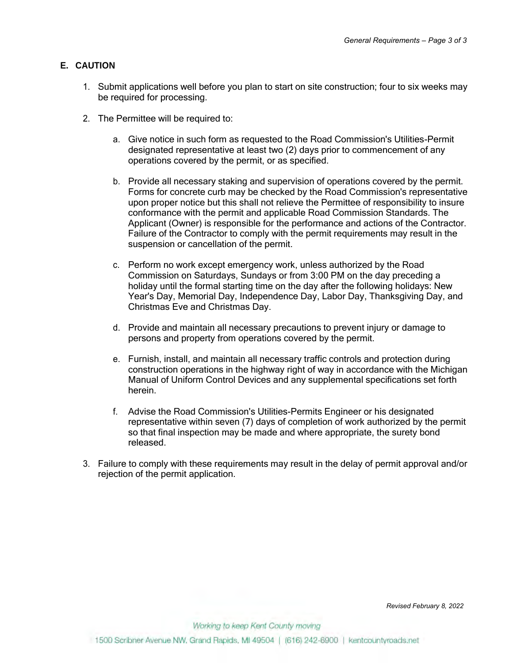### **E. CAUTION**

- 1. Submit applications well before you plan to start on site construction; four to six weeks may be required for processing.
- 2. The Permittee will be required to:
	- a. Give notice in such form as requested to the Road Commission's Utilities-Permit designated representative at least two (2) days prior to commencement of any operations covered by the permit, or as specified.
	- b. Provide all necessary staking and supervision of operations covered by the permit. Forms for concrete curb may be checked by the Road Commission's representative upon proper notice but this shall not relieve the Permittee of responsibility to insure conformance with the permit and applicable Road Commission Standards. The Applicant (Owner) is responsible for the performance and actions of the Contractor. Failure of the Contractor to comply with the permit requirements may result in the suspension or cancellation of the permit.
	- c. Perform no work except emergency work, unless authorized by the Road Commission on Saturdays, Sundays or from 3:00 PM on the day preceding a holiday until the formal starting time on the day after the following holidays: New Year's Day, Memorial Day, Independence Day, Labor Day, Thanksgiving Day, and Christmas Eve and Christmas Day.
	- d. Provide and maintain all necessary precautions to prevent injury or damage to persons and property from operations covered by the permit.
	- e. Furnish, install, and maintain all necessary traffic controls and protection during construction operations in the highway right of way in accordance with the Michigan Manual of Uniform Control Devices and any supplemental specifications set forth herein.
	- f. Advise the Road Commission's Utilities-Permits Engineer or his designated representative within seven (7) days of completion of work authorized by the permit so that final inspection may be made and where appropriate, the surety bond released.
- 3. Failure to comply with these requirements may result in the delay of permit approval and/or rejection of the permit application.

*Revised February 8, 2022*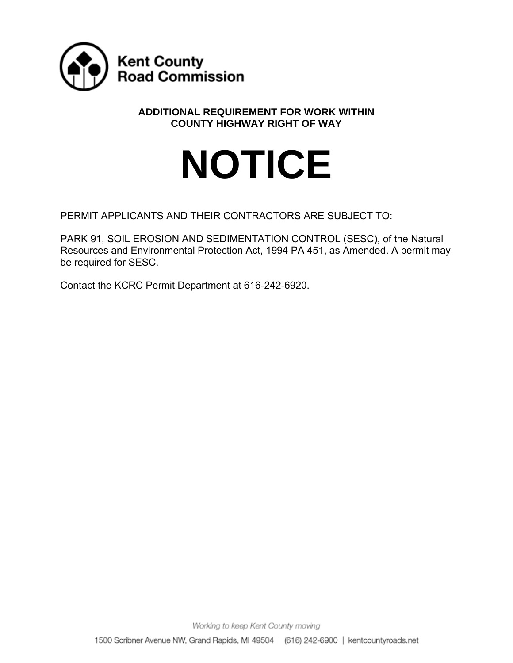

# **ADDITIONAL REQUIREMENT FOR WORK WITHIN COUNTY HIGHWAY RIGHT OF WAY**

# **NOTICE**

PERMIT APPLICANTS AND THEIR CONTRACTORS ARE SUBJECT TO:

PARK 91, SOIL EROSION AND SEDIMENTATION CONTROL (SESC), of the Natural Resources and Environmental Protection Act, 1994 PA 451, as Amended. A permit may be required for SESC.

Contact the KCRC Permit Department at 616-242-6920.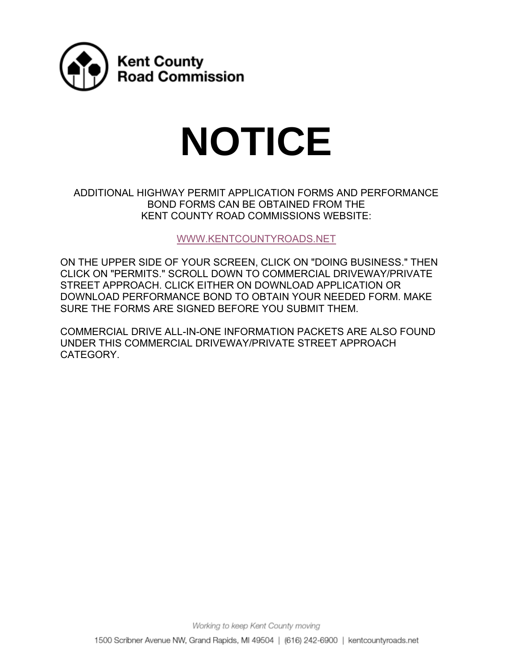

# **NOTICE**

ADDITIONAL HIGHWAY PERMIT APPLICATION FORMS AND PERFORMANCE BOND FORMS CAN BE OBTAINED FROM THE KENT COUNTY ROAD COMMISSIONS WEBSITE:

[WWW.KENTCOUNTYROADS.NET](https://www.kentcountyroads.net/)

ON THE UPPER SIDE OF YOUR SCREEN, CLICK ON "DOING BUSINESS." THEN CLICK ON "PERMITS." SCROLL DOWN TO COMMERCIAL DRIVEWAY/PRIVATE STREET APPROACH. CLICK EITHER ON DOWNLOAD APPLICATION OR DOWNLOAD PERFORMANCE BOND TO OBTAIN YOUR NEEDED FORM. MAKE SURE THE FORMS ARE SIGNED BEFORE YOU SUBMIT THEM.

COMMERCIAL DRIVE ALL-IN-ONE INFORMATION PACKETS ARE ALSO FOUND UNDER THIS COMMERCIAL DRIVEWAY/PRIVATE STREET APPROACH CATEGORY.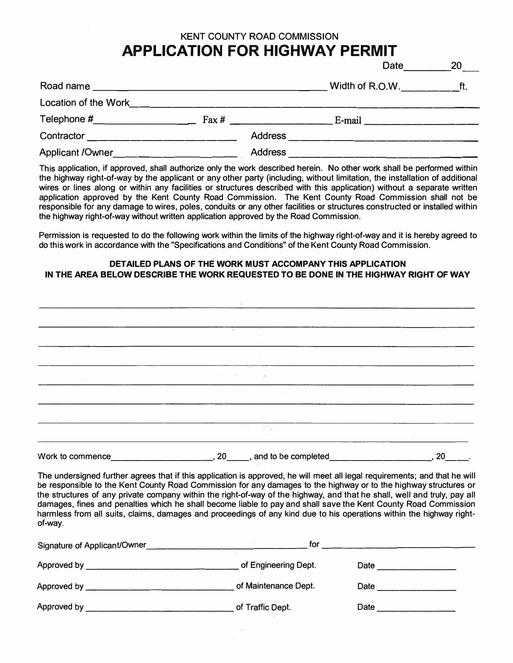# **KENT COUNTY ROAD COMMISSION APPLICATION FOR HIGHWAY PERMIT**

Date 20

| Road name<br><u> 1980 - Jan Barbara, martxa al Indonesia (h. 1980).</u> |                  | Width of R.O.W.<br>tt.                                                                          |
|-------------------------------------------------------------------------|------------------|-------------------------------------------------------------------------------------------------|
| Location of the Work                                                    |                  |                                                                                                 |
| Telephone #_______________                                              | $\text{Fax } \#$ | E-mail _____________________                                                                    |
|                                                                         |                  |                                                                                                 |
| Applicant / Owner <b>Applicant</b> / Owner <b>Applicant</b> / Owner     | <b>Address</b>   | the contract of the contract of the contract of the contract of the contract of the contract of |

This application, if approved, shall authorize only the work described herein. No other work shall be performed within the highway right-of-way by the applicant or any other party (including, without limitation, the installation of additional wires or lines along or within any facilities or structures described with this application} without a separate written application approved by the Kent County Road Commission. The Kent County Road Commission shall not be responsible for any damage to wires, poles, conduits or any other facilities or structures constructed or installed within the highway right-of-way without written application approved by the Road Commission.

Permission is requested to do the following work within the limits of the highway right-of-way and it is hereby agreed to do this work in accordance with the "Specifications and Conditions" of the Kent County Road Commission.

#### **DETAILED PLANS OF THE WORK MUST ACCOMPANY THIS APPLICATION IN THE AREA BELOW DESCRIBE THE WORK REQUESTED TO BE DONE IN THE HIGHWAY RIGHT OF WAY**

| Work to commence_ | 20_____, and to be completed         | 20 |
|-------------------|--------------------------------------|----|
|                   | DV.                                  |    |
|                   | <b>CONTRACTOR</b>                    |    |
|                   |                                      |    |
|                   | 1.177<br>$\mathbb{R}^n$ .<br>Total C |    |
|                   |                                      |    |
|                   |                                      |    |
|                   | <b>Research</b>                      |    |
|                   |                                      |    |
|                   |                                      |    |

The undersigned further agrees that if this application is approved, he will meet all legal requirements; and that he will be responsible to the Kent County Road Commission for any damages to the highway or to the highway structures or the structures of any private company within the right-of-way of the highway, and that he shall, well and truly, pay all damages, fines and penalties which he shall become liable to pay and shall save the Kent County Road Commission harmless from all suits, claims, damages and proceedings of any kind due to his operations within the highway rightof-way.

| Signature of Applicant/Owner     | for                  |      |
|----------------------------------|----------------------|------|
| Approved by ____________________ | of Engineering Dept. | Date |
| Approved by _______________      | of Maintenance Dept. | Date |
| Approved by                      | of Traffic Dept.     | Date |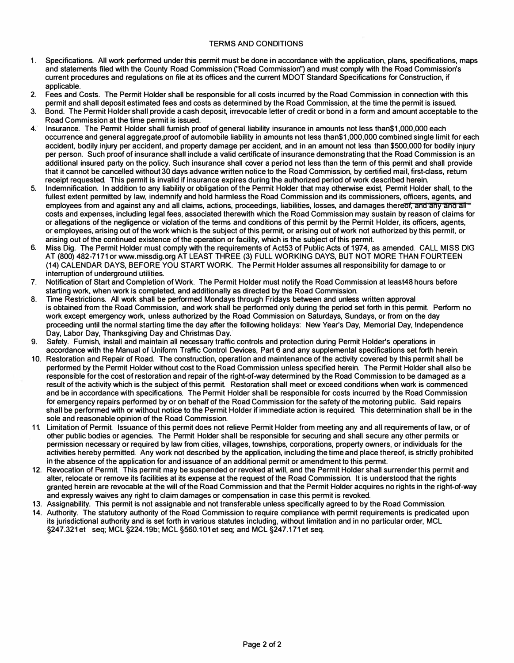#### TERMS AND CONDITIONS

- 1. Specifications. All work performed under this permit must be done in accordance with the application, plans, specifications, maps and statements filed with the County Road Commission ("Road Commission") and must comply with the Road Commission's current procedures and regulations on file at its offices and the current MOOT Standard Specifications for Construction, if applicable.
- 2. Fees and Costs. The Permit Holder shall be responsible for all costs incurred by the Road Commission in connection with this permit and shall deposit estimated fees and costs as determined by the Road Commission, at the time the permit is issued.
- 3. Bond. The Permit Holder shall provide a cash deposit, irrevocable letter of credit or bond in a form and amount acceptable to the Road Commission at the time permit is issued.
- 4. Insurance. The Permit Holder shall furnish proof of general liability insurance in amounts not less than\$1,000,000 each occurrence and general aggregate.proof of automobile liability in amounts not less than\$1,000,000 combined single limit for each accident, bodily injury per accident, and property damage per accident, and in an amount not less than \$500,000 for bodily injury per person. Such proof of insurance shall include a valid certificate of insurance demonstrating that the Road Commission is an additional insured party on the policy. Such insurance shall cover a period not less than the term of this permit and shall provide that it cannot be cancelled without 30 days advance written notice to the Road Commission, by certified mail, first-class, return receipt requested. This permit is invalid if insurance expires during the authorized period of work described herein.
- 5. Indemnification. In addition to any liability or obligation of the Permit Holder that may otherwise exist, Permit Holder shall, to the fullest extent permitted by law, indemnify and hold harmless the Road Commission and its commissioners, officers, agents, and employees from and against any and all claims, actions, proceedings, liabilities, losses, and damages thereof, and any and all costs and expenses, including legal fees, associated therewith which the Road Commission may sustain by reason of claims for or allegations of the negligence or violation of the terms and conditions of this permit by the Permit Holder, its officers, agents, or employees, arising out of the work which is the subject of this permit, or arising out of work not authorized by this permit, or arising out of the continued existence of the operation or facility, which is the subject of this permit.
- 6. Miss Dig. The Permit Holder must comply with the requirements of Act53 of Public Acts of 1974, as amended. CALL MISS DIG AT (800) 482-7171 or www.missdig.org AT LEAST THREE (3) FULL WORKING DAYS, BUT NOT MORE THAN FOURTEEN (14) CALENDAR DAYS, BEFORE YOU START WORK. The Permit Holder assumes all responsibility for damage to or interruption of underground utilities.
- 7. Notification of Start and Completion of Work. The Permit Holder must notify the Road Commission at least48 hours before starting work, when work is completed, and additionally as directed by the Road Commission.
- 8. Time Restrictions. All work shall be performed Mondays through Fridays between and unless written approval is obtained from the Road Commission, and work shall be performed only during the period set forth in this permit. Perform no work except emergency work, unless authorized by the Road Commission on Saturdays, Sundays, or from on the day proceeding until the normal starting time the day after the following holidays: New Year's Day, Memorial Day, Independence Day, Labor Day, Thanksgiving Day and Christmas Day.
- 9. Safety. Furnish, install and maintain all necessary traffic controls and protection during Permit Holder's operations in accordance with the Manual of Uniform Traffic Control Devices, Part 6 and any supplemental specifications set forth herein.
- 1 0. Restoration and Repair of Road. The construction, operation and maintenance of the activity covered by this permit shall be performed by the Permit Holder without cost to the Road Commission unless specified herein. The Permit Holder shall also be responsible for the cost of restoration and repair of the right-of-way determined by the Road Commission to be damaged as a result of the activity which is the subject of this permit. Restoration shall meet or exceed conditions when work is commenced and be in accordance with specifications. The Permit Holder shall be responsible for costs incurred by the Road Commission for emergency repairs performed by or on behalf of the Road Commission for the safety of the motoring public. Said repairs shall be performed with or without notice to the Permit Holder if immediate action is required. This determination shall be in the sole and reasonable opinion of the Road Commission.
- 11. Limitation of Permit. Issuance of this permit does not relieve Permit Holder from meeting any and all requirements of law, or of other public bodies or agencies. The Permit Holder shall be responsible for securing and shall secure any other permits or permission necessary or required by law from cities, villages, townships, corporations, property owners, or individuals for the activities hereby permitted. Any work not described by the application, including the time and place thereof, is strictly prohibited in the absence of the application for and issuance of an additional permit or amendment to this permit.
- 12. Revocation of Permit. This permit may be suspended or revoked at will, and the Permit Holder shall surrender this permit and alter, relocate or remove its facilities at its expense at the request of the Road Commission. It is understood that the rights granted herein are revocable at the will of the Road Commission and that the Permit Holder acquires no rights in the right-of-way and expressly waives any right to claim damages or compensation in case this permit is revoked.
- 13. Assignability. This permit is not assignable and not transferable unless specifically agreed to by the Road Commission.
- 14. Authority. The statutory authority of the Road Commission to require compliance with permit requirements is predicated upon its jurisdictional authority and is set forth in various statutes including, without limitation and in no particular order, MCL §247.321 et seq; MCL §224.19b; MCL §560.101 et seq; and MCL §247.171 et seq.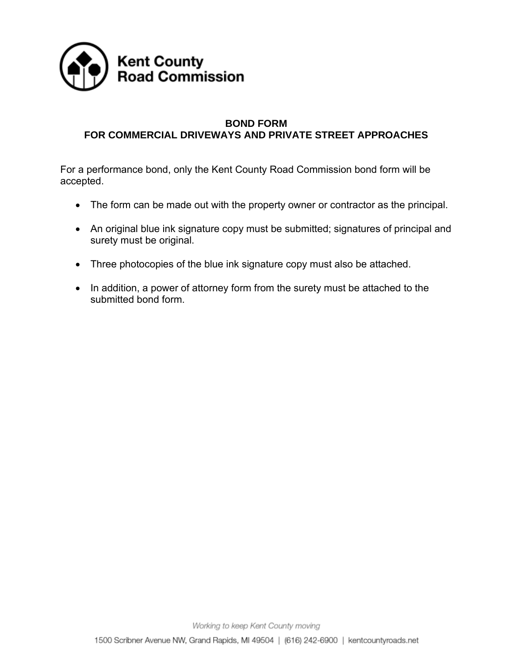

# **BOND FORM FOR COMMERCIAL DRIVEWAYS AND PRIVATE STREET APPROACHES**

For a performance bond, only the Kent County Road Commission bond form will be accepted.

- The form can be made out with the property owner or contractor as the principal.
- An original blue ink signature copy must be submitted; signatures of principal and surety must be original.
- Three photocopies of the blue ink signature copy must also be attached.
- In addition, a power of attorney form from the surety must be attached to the submitted bond form.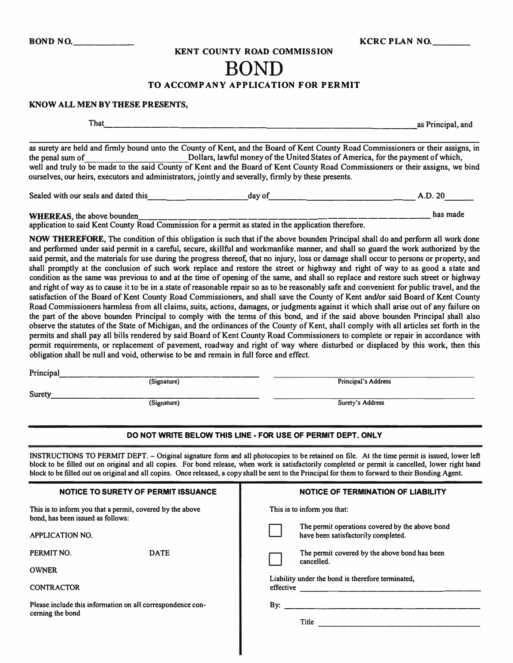#### **KENT COUNTY ROAD COMMISSION**

# **BOND**

#### **TO ACCOMPANY APPLICATION FOR PERMIT**

#### **KNOW ALL MEN BY THESE PRESENTS,**

**That \_\_\_\_\_\_\_\_\_\_\_\_\_\_\_\_\_\_\_\_\_\_\_\_\_\_\_\_\_\_\_\_\_ as Principal, and**

**as surety are held and firmly bound unto the County of Kent, and the Board of Kent County Road Commissioners or their assigns, in bullars, lawful money of the United States of America, for the payment of which, well and truly to be made to the said County of Kent and the Board of Kent County Road Commissioners or their assigns, we bind ourselves, our heirs, executors and administrators, jointly and severally, firmly by these presents.** 

**Sealed with our seals and dated this \_\_\_\_\_\_\_\_\_\_\_ day of \_\_\_\_\_\_\_\_\_\_\_\_\_\_\_ A.D. 20 \_\_ \_** 

**WHEREAS, the above bounden \_\_\_\_\_\_\_\_\_\_\_\_\_\_\_\_\_\_\_\_\_\_\_\_\_\_\_\_\_ has made**

**application to said Kent County Road Commission for a permit as stated in the application therefore.** 

**NOW THEREFORE, The condition of this obligation is such that if the above bounden Principal shall do and perform all work done and performed under said permit in a careful, secure, skillful and workmanlike manner, and shall so guard the work authorized by the said permit, and the materials for use during the progress thereof, that no injury, loss or damage shall occur to persons or property, and shall promptly at the conclusion of such work replace and restore the street or highway and right of way to as good a state and condition as the same was previous to and at the time of opening of the same, and shall so replace and restore such street or highway and right of way as to cause it to be in a state of reasonable repair so as to be reasonably safe and convenient for public travel, and the satisfaction of the Board of Kent County Road Commissioners, and shall save the County of Kent and/or said Board of Kent County Road Commissioners harmless from all claims, suits, actions, damages, or judgments against it which shall arise out of any failure on the part of the above bounden Principal to comply with the terms of this bond, and if the said above bounden Principal shall also observe the statutes of the State of Michigan, and the ordinances of the County of Kent, shal I comply with all articles set forth in the permits and shall pay all bills rendered by said Board of Kent County Road Commissioners to complete or repair in accordance with permit requirements, or replacement of pavement, roadway and right of way where disturbed or displaced by this work, then this obligation shall be null and void, otherwise to be and remain in full force and effect.** 

**Principal. \_\_\_\_\_\_\_\_\_\_\_\_\_\_\_\_\_\_\_\_ \_** 

**(Signature) Principal's Address** 

**Surety \_\_\_\_\_\_\_\_\_\_\_\_\_\_\_\_\_\_\_\_\_ \_** 

**(Signature)** Surety's Address **Surety's Address** 

#### **DO NOT WRITE BELOW THIS LINE - FOR USE OF PERMIT DEPT. ONLY**

**INSTRUCTIONS TO PERMIT DEPT. - Original signature form and all photocopies to be retained on file. At the time permit is issued, lower left block to be filled out on original and all copies. For bond release, when work is satisfactorily completed or permit is cancelled, lower right hand block to be filled out on original and all copies. Once released, a copy shall be sent to the Principal for them to forward to their Bonding Agent.** 

| <b>NOTICE OF TERMINATION OF LIABILITY</b>                                              |  |  |  |
|----------------------------------------------------------------------------------------|--|--|--|
| This is to inform you that:                                                            |  |  |  |
| The permit operations covered by the above bond<br>have been satisfactorily completed. |  |  |  |
| The permit covered by the above bond has been<br>cancelled.                            |  |  |  |
| Liability under the bond is therefore terminated,                                      |  |  |  |
| effective <u>example</u>                                                               |  |  |  |
| Title                                                                                  |  |  |  |
|                                                                                        |  |  |  |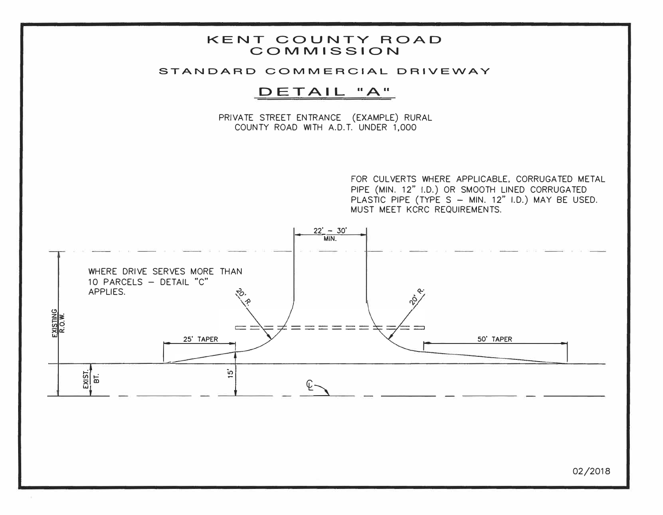

#### STANDARD COMMERCIAL DRIVEWAY

# DETAIL "A"

PRIVATE STREET ENTRANCE (EXAMPLE) RURAL COUNTY ROAD WITH A.D.T. UNDER 1,000

> FOR CULVERTS WHERE APPLICABLE, CORRUGATED METAL PIPE (MIN. 12" I.D.) OR SMOOTH LINED CORRUGATED PLASTIC PIPE (TYPE S - MIN. 12" I.D.) MAY BE USED. MUST MEET KCRC REQUIREMENTS.



02/2018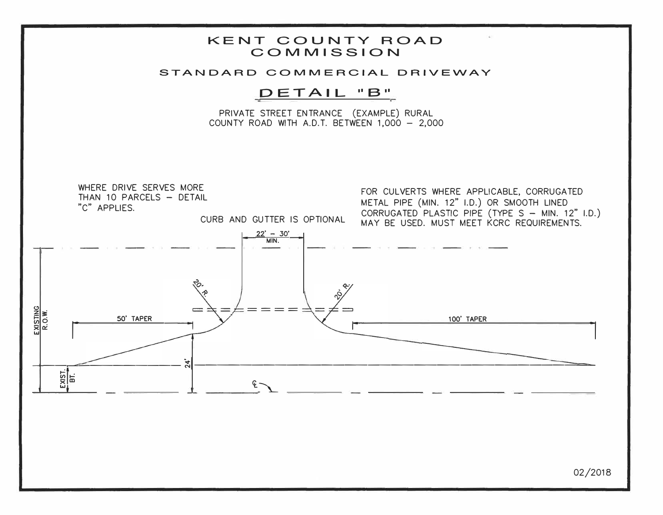

02/2018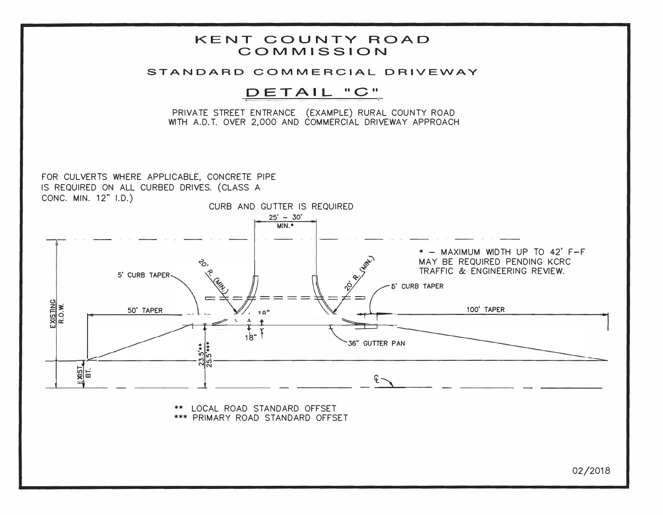